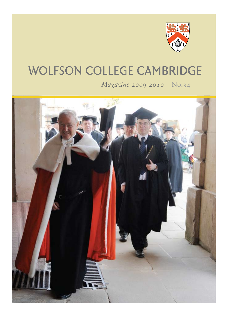

## **WOLFSON COLLEGE CAMBRIDGE**

*Magazine 2009-2010* No.34

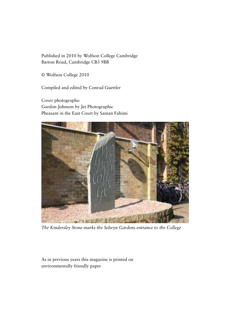Published in 2010 by Wolfson College Cambridge Barton Road, Cambridge CB3 9BB

© Wolfson College 2010

Compiled and edited by Conrad Guettler

Cover photographs: Gordon Johnson by Jet Photographic Pheasant in the East Court by Saman Fahimi



*The Kindersley Stone marks the Selwyn Gardens entrance to the College*

As in previous years this magazine is printed on environmentally friendly paper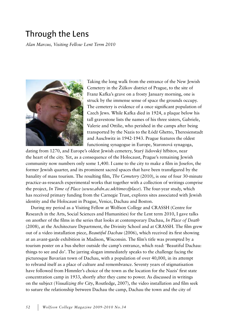## Through the Lens

*Alan Marcus, Visiting Fellow Lent Term 2010*



Taking the long walk from the entrance of the New Jewish Cemetery in the Žižkov district of Prague, to the site of Franz Kafka's grave on a frosty January morning, one is struck by the immense sense of space the grounds occupy. The cemetery is evidence of a once significant population of Czech Jews. While Kafka died in 1924, a plaque below his tall gravestone lists the names of his three sisters, Gabriele, Valerie and Ottilie, who perished in the camps after being transported by the Nazis to the Łódź Ghetto, Theresienstadt and Auschwitz in 1942-1943. Prague features the oldest functioning synagogue in Europe, Staronová synagoga,

dating from 1270, and Europe's oldest Jewish cemetery, Starý židovský hřbitov, near the heart of the city. Yet, as a consequence of the Holocaust, Prague's remaining Jewish community now numbers only some 1,400. I came to the city to make a film in Josefov, the former Jewish quarter, and its prominent sacred spaces that have been transfigured by the banality of mass tourism. The resulting film, *The Cemetery* (2010), is one of four 30-minute practice-as-research experimental works that together with a collection of writings comprise the project, *In Time of Place* (*www.abdn.ac.uk/timeofplace*). The four-year study, which has received primary funding from the Carnegie Trust, explores sites associated with Jewish identity and the Holocaust in Prague, Venice, Dachau and Boston.

During my period as a Visiting Fellow at Wolfson College and CRASSH (Centre for Research in the Arts, Social Sciences and Humanities) for the Lent term 2010, I gave talks on another of the films in the series that looks at contemporary Dachau, *In Place of Death* (2008), at the Architecture Department, the Divinity School and at CRASSH. The film grew out of a video installation piece, *Beautiful Dachau* (2006), which received its first showing at an avant-garde exhibition in Madison, Wisconsin. The film's title was prompted by a tourism poster on a bus shelter outside the camp's entrance, which read: 'Beautiful Dachau: things to see and do'. The jarring slogan immediately speaks to the challenge facing the picturesque Bavarian town of Dachau, with a population of over 40,000, in its attempt to rebrand itself as a place of culture and remembrance. Seventy years of stigmatisation have followed from Himmler's choice of the town as the location for the Nazis' first state concentration camp in 1933, shortly after they came to power. As discussed in writings on the subject (*Visualizing the City*, Routledge, 2007), the video installation and film seek to suture the relationship between Dachau the camp, Dachau the town and the city of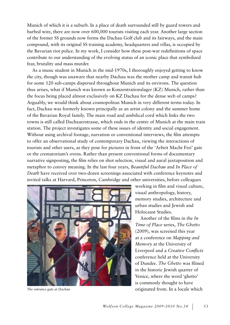Munich of which it is a suburb. In a place of death surrounded still by guard towers and barbed wire, there are now over 600,000 tourists visiting each year. Another large section of the former SS grounds now forms the Dachau Golf club and its fairways, and the main compound, with its original SS training academy, headquarters and villas, is occupied by the Bavarian riot police. In my work, I consider how these post-war redefinitions of space contribute to our understanding of the evolving status of an iconic place that symbolized fear, brutality and mass murder.

As a music student in Munich in the mid-1970s, I thoroughly enjoyed getting to know the city, though was unaware that nearby Dachau was the mother camp and transit hub for some 120 sub-camps dispersed throughout Munich and its environs. The question thus arises, what if Munich was known as Konzentrationslager (KZ) Munich, rather than the focus being placed almost exclusively on KZ Dachau for the dense web of camps? Arguably, we would think about cosmopolitan Munich in very different terms today. In fact, Dachau was formerly known principally as an artist colony and the summer home of the Bavarian Royal family. The main road and umbilical cord which links the two towns is still called Dachauerstrasse, which ends in the centre of Munich at the main train station. The project investigates some of these issues of identity and social engagement. Without using archival footage, narration or conventional interviews, the film attempts to offer an observational study of contemporary Dachau, viewing the interactions of tourists and other users, as they pose for pictures in front of the 'Arbeit Macht Frei' gate or the crematorium's ovens. Rather than present conventional forms of documentary narrative signposting, the film relies on shot selection, visual and aural juxtaposition and metaphor to convey meaning. In the last four years, *Beautiful Dachau* and *In Place of Death* have received over two-dozen screenings associated with conference keynotes and invited talks at Harvard, Princeton, Cambridge and other universities, before colleagues



working in film and visual culture, visual anthropology, history, memory studies, architecture and urban studies and Jewish and Holocaust Studies.

Another of the films in the *In Time of Place* series, *The Ghetto* (2009), was screened this year at a conference on *Mapping and Memory* at the University of Liverpool and a *Creative Conflicts* conference held at the University of Dundee. *The Ghetto* was filmed in the historic Jewish quarter of Venice, where the word 'ghetto' is commonly thought to have *The entrance gate at Dachau* **originated from.** In a locale which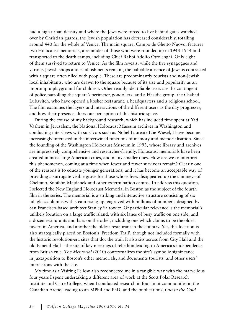had a high urban density and where the Jews were forced to live behind gates watched over by Christian guards, the Jewish population has decreased considerably, totalling around 440 for the whole of Venice. The main square, Campo de Ghetto Nuovo, features two Holocaust memorials, a reminder of those who were rounded up in 1943-1944 and transported to the death camps, including Chief Rabbi Adolfo Ottolenghi. Only eight of them survived to return to Venice. As the film reveals, while the five synagogues and various Jewish shops and establishments remain, the palpable absence of Jews is contrasted with a square often filled with people. These are predominantly tourists and non-Jewish local inhabitants, who are drawn to the square because of its size and popularity as an impromptu playground for children. Other readily identifiable users are the contingent of police patrolling the square's perimeter, gondoliers, and a Hasidic group, the Chabad-Lubavitch, who have opened a kosher restaurant, a headquarters and a religious school. The film examines the layers and interactions of the different users as the day progresses, and how their presence alters our perception of this historic space.

During the course of my background research, which has included time spent at Yad Vashem in Jerusalem, the National Holocaust Museum archives in Washington and conducting interviews with survivors such as Nobel Laureate Elie Wiesel, I have become increasingly interested in the intertwined functions of memory and memorialisation. Since the founding of the Washington Holocaust Museum in 1993, whose library and archives are impressively comprehensive and researcher-friendly, Holocaust memorials have been created in most large American cities, and many smaller ones. How are we to interpret this phenomenon, coming at a time when fewer and fewer survivors remain? Clearly one of the reasons is to educate younger generations, and it has become an acceptable way of providing a surrogate visible grave for those whose lives disappeared up the chimneys of Chelmno, Sobibór, Majdanek and other extermination camps. To address this question, I selected the New England Holocaust Memorial in Boston as the subject of the fourth film in the series. The memorial is a striking and interactive structure consisting of six tall glass columns with steam rising up, engraved with millions of numbers, designed by San Francisco-based architect Stanley Saitowitz. Of particular relevance is the memorial's unlikely location on a large traffic island, with six lanes of busy traffic on one side, and a dozen restaurants and bars on the other, including one which claims to be the oldest tavern in America, and another the oldest restaurant in the country. Yet, this location is also strategically placed on Boston's 'Freedom Trail', though not included formally with the historic revolution-era sites that dot the trail. It also sits across from City Hall and the old Faneuil Hall – the site of key meetings of rebellion leading to America's independence from British rule. *The Memorial* (2010) contextualizes the site's symbolic significance in juxtaposition to Boston's other memorials, and documents tourists' and other users' interactions with the site.

My time as a Visiting Fellow also reconnected me in a tangible way with the marvellous four years I spent undertaking a different area of work at the Scott Polar Research Institute and Clare College, when I conducted research in four Inuit communities in the Canadian Arctic, leading to an MPhil and PhD, and the publications, *Out in the Cold*